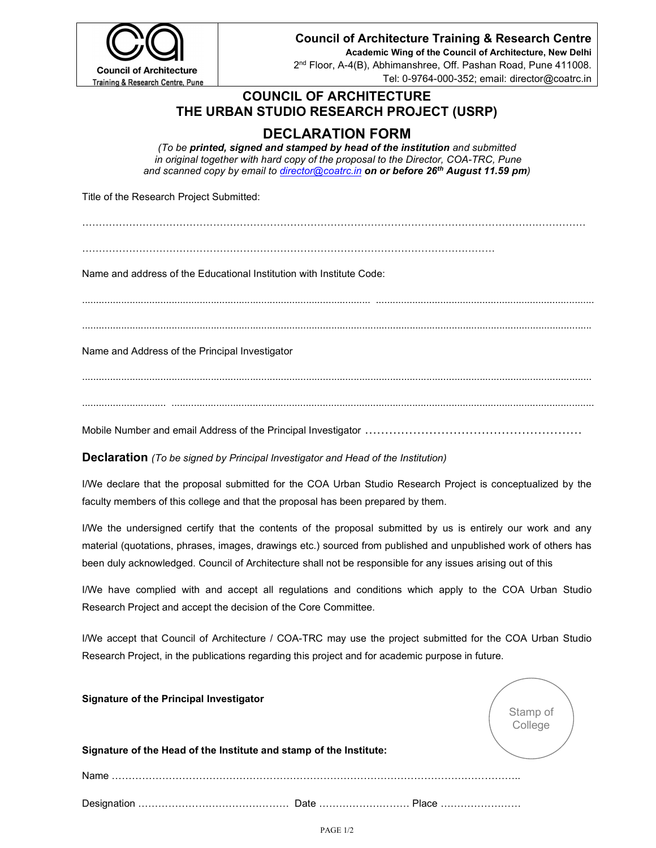

#### Council of Architecture Training & Research Centre

Academic Wing of the Council of Architecture, New Delhi 2 nd Floor, A-4(B), Abhimanshree, Off. Pashan Road, Pune 411008. Tel: 0-9764-000-352; email: director@coatrc.in

### COUNCIL OF ARCHITECTURE THE URBAN STUDIO RESEARCH PROJECT (USRP)

# DECLARATION FORM

(To be printed, signed and stamped by head of the institution and submitted in original together with hard copy of the proposal to the Director, COA-TRC, Pune and scanned copy by email to director@coatrc.in on or before 26<sup>th</sup> August 11.59 pm)

Title of the Research Project Submitted:

……………………………………………………………………………………………………………………………………

……………………………………………………………………………………………………………

Name and address of the Educational Institution with Institute Code:

......................................................................................................................................................................................

Name and Address of the Principal Investigator

......................................................................................................................................................................................

.............................. .......................................................................................................................................................

Mobile Number and email Address of the Principal Investigator ………………………………………………

**Declaration** (To be signed by Principal Investigator and Head of the Institution)

I/We declare that the proposal submitted for the COA Urban Studio Research Project is conceptualized by the faculty members of this college and that the proposal has been prepared by them.

I/We the undersigned certify that the contents of the proposal submitted by us is entirely our work and any material (quotations, phrases, images, drawings etc.) sourced from published and unpublished work of others has been duly acknowledged. Council of Architecture shall not be responsible for any issues arising out of this

I/We have complied with and accept all regulations and conditions which apply to the COA Urban Studio Research Project and accept the decision of the Core Committee.

I/We accept that Council of Architecture / COA-TRC may use the project submitted for the COA Urban Studio Research Project, in the publications regarding this project and for academic purpose in future.

| <b>Signature of the Principal Investigator</b>                     | Stamp of<br>College |
|--------------------------------------------------------------------|---------------------|
| Signature of the Head of the Institute and stamp of the Institute: |                     |
| Name                                                               |                     |
| Place                                                              |                     |